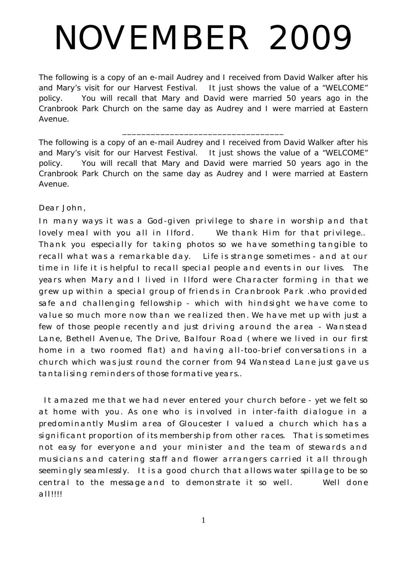# NOVEMBER 2009

The following is a copy of an e-mail Audrey and I received from David Walker after his and Mary's visit for our Harvest Festival. It just shows the value of a "WELCOME" policy. You will recall that Mary and David were married 50 years ago in the Cranbrook Park Church on the same day as Audrey and I were married at Eastern Avenue.

The following is a copy of an e-mail Audrey and I received from David Walker after his and Mary's visit for our Harvest Festival. It just shows the value of a "WELCOME" policy. You will recall that Mary and David were married 50 years ago in the Cranbrook Park Church on the same day as Audrey and I were married at Eastern Avenue.

\_\_\_\_\_\_\_\_\_\_\_\_\_\_\_\_\_\_\_\_\_\_\_\_\_\_\_\_\_\_\_\_\_\_

# Dear John,

In many ways it was a God-given privilege to share in worship and that lovely meal with you all in Ilford. We thank Him for that privilege.. Thank you especially for taking photos so we have something tangible to recall what was a remarkable day. Life is strange sometimes - and at our time in life it is helpful to recall special people and events in our lives. The years when Mary and I lived in Ilford were Character forming in that we grew up within a special group of friends in Cranbrook Park .who provided safe and challenging fellowship - which with hindsight we have come to value so much more now than we realized then. We have met up with just a few of those people recently and just driving around the area - Wanstead Lane, Bethell Avenue, The Drive, Balfour Road (where we lived in our first home in a two roomed flat) and having all-too-brief conversations in a church which was just round the corner from 94 Wanstead Lane just gave us tantalising reminders of those formative years..

It amazed me that we had never entered your church before - yet we felt so at home with you. As one who is involved in inter-faith dialogue in a predominantly Muslim area of Gloucester I valued a church which has a significant proportion of its membership from other races. That is sometimes not easy for everyone and your minister and the team of stewards and musicians and catering staff and flower arrangers carried it all through seemingly seamlessly. It is a good church that allows water spillage to be so central to the message and to demonstrate it so well. Well done all!!!!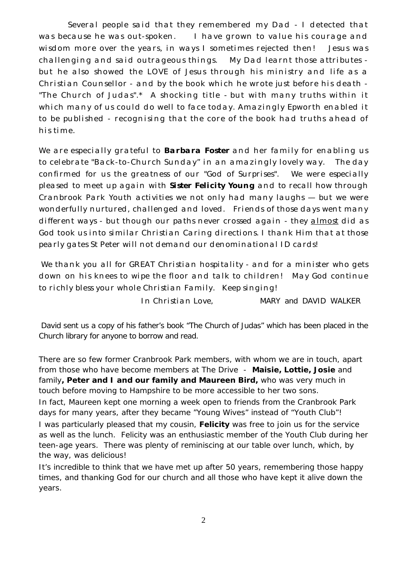Several people said that they remembered my Dad - I detected that was because he was out-spoken. I have grown to value his courage and wisdom more over the years, in ways I sometimes rejected then! Jesus was challenging and said outrageous things. My Dad learnt those attributes but he also showed the LOVE of Jesus through his ministry and life as a Christian Counsellor - and by the book which he wrote just before his death - "The Church of Judas".\* A shocking title - but with many truths within it which many of us could do well to face today. Amazingly Epworth enabled it to be published - recognising that the core of the book had truths ahead of his time.

We are especially grateful to **Barbara Foster** and her family for enabling us to celebrate "Back-to-Church Sunday" in an amazingly lovely way. The day confirmed for us the greatness of our "God of Surprises". We were especially pleased to meet up again with **Sister Felicity Young** and to recall how through Cranbrook Park Youth activities we not only had many laughs — but we were wonderfully nurtured, challenged and loved. Friends of those days went many different ways - but though our paths never crossed again - they almost did as God took us into similar Christian Caring directions. I thank Him that at those pearly gates St Peter will not demand our denominational ID cards!

We thank you all for GREAT Christian hospitality - and for a minister who gets down on his knees to wipe the floor and talk to children! May God continue to richly bless your whole Christian Family. Keep singing!

In Christian Love, MARY and DAVID WALKER

David sent us a copy of his father's book "The Church of Judas" which has been placed in the Church library for anyone to borrow and read.

There are so few former Cranbrook Park members, with whom we are in touch, apart from those who have become members at The Drive - **Maisie, Lottie, Josie** and family**, Peter and I and our family and Maureen Bird,** who was very much in touch before moving to Hampshire to be more accessible to her two sons.

In fact, Maureen kept one morning a week open to friends from the Cranbrook Park days for many years, after they became "Young Wives" instead of "Youth Club"! I was particularly pleased that my cousin, **Felicity** was free to join us for the service as well as the lunch. Felicity was an enthusiastic member of the Youth Club during her teen-age years. There was plenty of reminiscing at our table over lunch, which, by the way, was delicious!

It's incredible to think that we have met up after 50 years, remembering those happy times, and thanking God for our church and all those who have kept it alive down the years.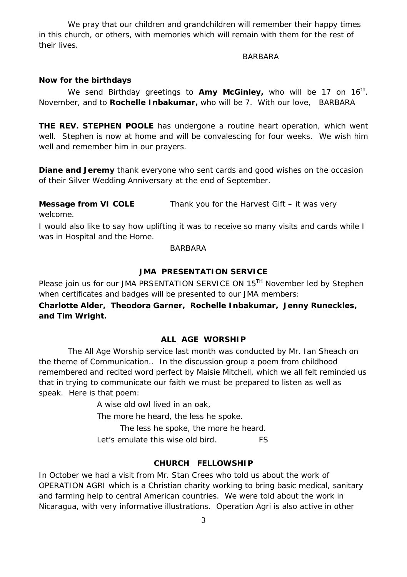We pray that our children and grandchildren will remember their happy times in this church, or others, with memories which will remain with them for the rest of their lives.

#### BARBARA

## **Now for the birthdays**

We send Birthday greetings to Amy McGinley, who will be 17 on 16<sup>th</sup>. November, and to **Rochelle Inbakumar,** who will be 7. With our love, BARBARA

**THE REV. STEPHEN POOLE** has undergone a routine heart operation, which went well. Stephen is now at home and will be convalescing for four weeks. We wish him well and remember him in our prayers.

**Diane and Jeremy** thank everyone who sent cards and good wishes on the occasion of their Silver Wedding Anniversary at the end of September.

**Message from VI COLE** Thank you for the Harvest Gift – it was very welcome.

I would also like to say how uplifting it was to receive so many visits and cards while I was in Hospital and the Home.

#### **BARBARA**

# **JMA PRESENTATION SERVICE**

Please join us for our JMA PRSENTATION SERVICE ON 15<sup>TH</sup> November led by Stephen when certificates and badges will be presented to our JMA members:

**Charlotte Alder, Theodora Garner, Rochelle Inbakumar, Jenny Runeckles, and Tim Wright.**

# **ALL AGE WORSHIP**

The All Age Worship service last month was conducted by Mr. Ian Sheach on the theme of Communication.. In the discussion group a poem from childhood remembered and recited word perfect by Maisie Mitchell, which we all felt reminded us that in trying to communicate our faith we must be prepared to listen as well as speak. Here is that poem:

A wise old owl lived in an oak,

The more he heard, the less he spoke.

The less he spoke, the more he heard.

Let's emulate this wise old bird. FS

## **CHURCH FELLOWSHIP**

In October we had a visit from Mr. Stan Crees who told us about the work of OPERATION AGRI which is a Christian charity working to bring basic medical, sanitary and farming help to central American countries. We were told about the work in Nicaragua, with very informative illustrations. Operation Agri is also active in other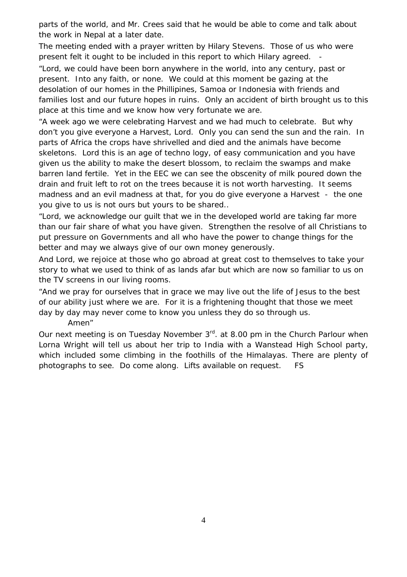parts of the world, and Mr. Crees said that he would be able to come and talk about the work in Nepal at a later date.

The meeting ended with a prayer written by Hilary Stevens. Those of us who were present felt it ought to be included in this report to which Hilary agreed. -

*"Lord, we could have been born anywhere in the world, into any century, past or present. Into any faith, or none. We could at this moment be gazing at the desolation of our homes in the Phillipines, Samoa or Indonesia with friends and families lost and our future hopes in ruins. Only an accident of birth brought us to this place at this time and we know how very fortunate we are.*

*"A week ago we were celebrating Harvest and we had much to celebrate. But why don't you give everyone a Harvest, Lord. Only you can send the sun and the rain. In parts of Africa the crops have shrivelled and died and the animals have become skeletons. Lord this is an age of techno logy, of easy communication and you have given us the ability to make the desert blossom, to reclaim the swamps and make barren land fertile. Yet in the EEC we can see the obscenity of milk poured down the drain and fruit left to rot on the trees because it is not worth harvesting. It seems madness and an evil madness at that, for you do give everyone a Harvest - the one you give to us is not ours but yours to be shared..*

*"Lord, we acknowledge our guilt that we in the developed world are taking far more than our fair share of what you have given. Strengthen the resolve of all Christians to put pressure on Governments and all who have the power to change things for the better and may we always give of our own money generously.*

*And Lord, we rejoice at those who go abroad at great cost to themselves to take your story to what we used to think of as lands afar but which are now so familiar to us on the TV screens in our living rooms.*

*"And we pray for ourselves that in grace we may live out the life of Jesus to the best of our ability just where we are. For it is a frightening thought that those we meet day by day may never come to know you unless they do so through us.*

*Amen"*

Our next meeting is on Tuesday November 3<sup>rd</sup>. at 8.00 pm in the Church Parlour when Lorna Wright will tell us about her trip to India with a Wanstead High School party, which included some climbing in the foothills of the Himalayas. There are plenty of photographs to see. Do come along. Lifts available on request. FS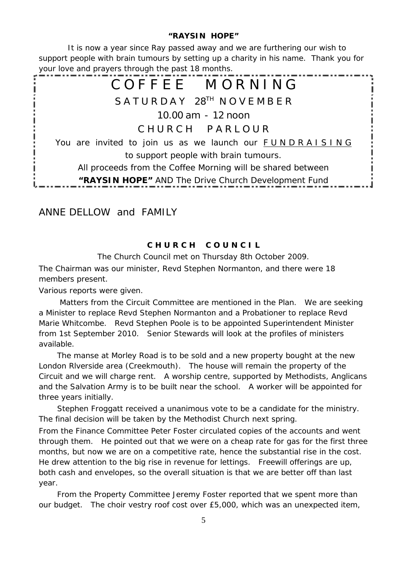# **"RAYSIN HOPE"**

It is now a year since Ray passed away and we are furthering our wish to support people with brain tumours by setting up a charity in his name. Thank you for your love and prayers through the past 18 months.

# COFFFE MORNING **S A T U R D A Y 28TH N O V E M B E R 10.00 am - 12 noon C H U R C H P A R L O U R** You are invited to join us as we launch our FUNDRAISING to support people with brain tumours. All proceeds from the Coffee Morning will be shared between **"RAYSIN HOPE"** AND The Drive Church Development Fund

# ANNE DELLOW and FAMILY

# **C H U R C H C O U N C I L**

The Church Council met on Thursday 8th October 2009.

The Chairman was our minister, Revd Stephen Normanton, and there were 18 members present.

Various reports were given.

Matters from the Circuit Committee are mentioned in the Plan. We are seeking a Minister to replace Revd Stephen Normanton and a Probationer to replace Revd Marie Whitcombe. Revd Stephen Poole is to be appointed Superintendent Minister from 1st September 2010. Senior Stewards will look at the profiles of ministers available.

The manse at Morley Road is to be sold and a new property bought at the new London Rlverside area (Creekmouth). The house will remain the property of the Circuit and we will charge rent. A worship centre, supported by Methodists, Anglicans and the Salvation Army is to be built near the school. A worker will be appointed for three years initially.

Stephen Froggatt received a unanimous vote to be a candidate for the ministry. The final decision will be taken by the Methodist Church next spring.

From the Finance Committee Peter Foster circulated copies of the accounts and went through them. He pointed out that we were on a cheap rate for gas for the first three months, but now we are on a competitive rate, hence the substantial rise in the cost. He drew attention to the big rise in revenue for lettings. Freewill offerings are up, both cash and envelopes, so the overall situation is that we are better off than last year.

From the Property Committee Jeremy Foster reported that we spent more than our budget. The choir vestry roof cost over £5,000, which was an unexpected item,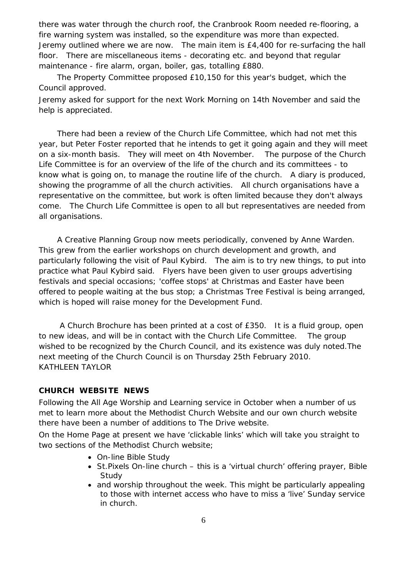there was water through the church roof, the Cranbrook Room needed re-flooring, a fire warning system was installed, so the expenditure was more than expected. Jeremy outlined where we are now. The main item is £4,400 for re-surfacing the hall floor. There are miscellaneous items - decorating etc. and beyond that regular maintenance - fire alarm, organ, boiler, gas, totalling £880.

The Property Committee proposed £10,150 for this year's budget, which the Council approved.

Jeremy asked for support for the next Work Morning on 14th November and said the help is appreciated.

There had been a review of the Church Life Committee, which had not met this year, but Peter Foster reported that he intends to get it going again and they will meet on a six-month basis. They will meet on 4th November. The purpose of the Church Life Committee is for an overview of the life of the church and its committees - to know what is going on, to manage the routine life of the church. A diary is produced, showing the programme of all the church activities. All church organisations have a representative on the committee, but work is often limited because they don't always come. The Church Life Committee is open to all but representatives are needed from all organisations.

A Creative Planning Group now meets periodically, convened by Anne Warden. This grew from the earlier workshops on church development and growth, and particularly following the visit of Paul Kybird. The aim is to try new things, to put into practice what Paul Kybird said. Flyers have been given to user groups advertising festivals and special occasions; 'coffee stops' at Christmas and Easter have been offered to people waiting at the bus stop; a Christmas Tree Festival is being arranged, which is hoped will raise money for the Development Fund.

A Church Brochure has been printed at a cost of £350. It is a fluid group, open to new ideas, and will be in contact with the Church Life Committee. The group wished to be recognized by the Church Council, and its existence was duly noted.The next meeting of the Church Council is on Thursday 25th February 2010. KATHLEEN TAYLOR

# **CHURCH WEBSITE NEWS**

Following the All Age Worship and Learning service in October when a number of us met to learn more about the Methodist Church Website and our own church website there have been a number of additions to The Drive website.

On the Home Page at present we have 'clickable links' which will take you straight to two sections of the Methodist Church website;

- On-line Bible Study
- St.Pixels On-line church this is a 'virtual church' offering prayer, Bible **Study**
- and worship throughout the week. This might be particularly appealing to those with internet access who have to miss a 'live' Sunday service in church.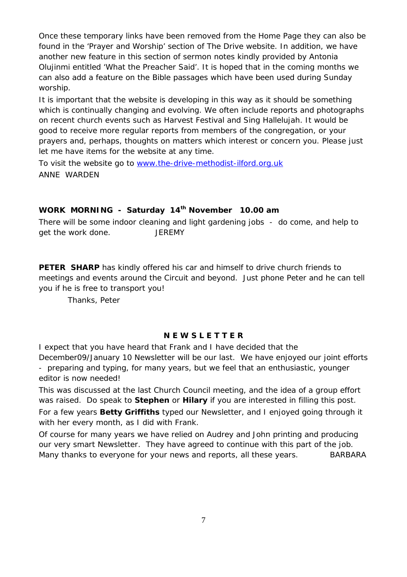Once these temporary links have been removed fr om the Home Page they can also be found in the …Prayer and Worship€ section of The Drive website. In addition, we have another new feature in this section of sermon notes kindly provided by Antonia Olujinmi entitled …What the Preacher Said€. It is hoped th at in the coming months we can also add a feature on the Bible passages which have been used during Sunday worship.

It is important that the website is developing in this way as it should be something which is continually changing and evolving. We often in clude reports and photographs on recent church events such as Harvest Festival and Sing Hallelujah. It would be good to receive more regular reports from members of the congregation, or your prayers and, perhaps, thoughts on matters which interest or conce rn you. Please just let me have items for the website at any time.

To visit the website go to www.the -drive -methodist [-ilford.org.uk](www.the-drive-methodist-ilford.org.uk) ANNE WARDEN

WORK MORNING - Saturday 14 <sup>th</sup> Novembe r 10.00 am There will be some indoor cleaning and light gardening jobs - do come, and help to get the work done. JEREMY

PETER SHARP has kindly offered his car and himself to drive church friends to meetings and events around the Circuit and beyond. Just phone Peter and he can tell you if he is free to transport you !

Thanks, Peter

# N E W S L E T T E R

I expect that you have heard that Frank and I have decided that the

December09/January 10 Newsletter will be our last . We have enjoyed our joint ef forts - preparing and typing, for many years, but we feel that an enthusiastic, younger editor is now needed !

This was discussed at the last Church Council meeting, and the idea of a group effort was raised. Do speak to Stephen or Hilary if you are inte rested in filling this post. For a few years Betty Griffiths typed our Newsletter, and I enjoyed going through it with her every month, as I did with Frank

Of course for many years we have relied on Audrey and John printing and producing our very smart Ne wsletter . They have agreed to continue with this part of the job. Many thanks to everyone for your news and reports, all these years. BARBARA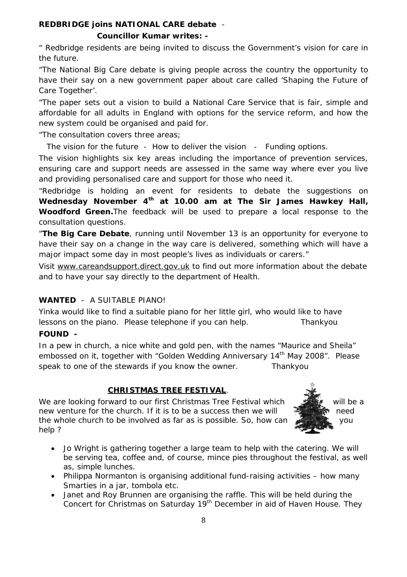Councillor Kumar writes:

€ Redbridge residents are being invit ed to discuss the Government•s vision for care in the future .

€The National Big Care debate is giving people across the country the opportunity to have their say on a new government paper about care called *f* Shaping the Future of Care Together•.

€The paper sets out a vision to build a National Care Service that is fair, simple and affordable for all adults in England with options for th e service reform, and how the new system could be organised and paid for.

€The consultation covers three areas;

The visio n for the future - How to deliver the vision - Funding options. The vision highlights six key areas including the importance of prevention services, ensuring care and support needs are assessed in the same way where ever you live and providing person alised care and support for those who need it.

€Redbridge is holding an event for residents to debate the suggestions on Wednesday November 4  $t$ <sup>th</sup> at 10.00 am at The Sir James Hawkey Hall, Woodford Green. The feedback will be used to prepare a local response t o the consultation questions.

€The Big Care Debate , running until November 13 is an opportunity for everyone to have their say on a change in the way care is delivered , something which will have a major impact some day in most people•s lives as individuals or carers...

Visit <www.careandsupport.direct.gov.uk> to find out more information about the debate and to have your say directly to the department of Health .

# WANTED - A SUITABLE PIANO!

Yinka would like to find a suitable piano for her little girl, who wo uld like to have lessons on the piano. Please telephone if you can help. Thankyou FOUND -

In a pew in church, a nice white and gold pen, with the names •Maurice and Sheila, embossed on it, together with •Golden Wedding Anniversary 14 th May 2008. Pleas e speak to one of the stewards if you know the owner. Thankyou

# CHRISTMAS TREE FESTIVAL .

We are looking forward to our first Christmas Tree Festival which will be a will be a new venture for the church. If it is to be a success then we will  $\mathbb{R}$  is need the whole church t o be involved as far as is possible. So, how can you help ?

- ð· Jo Wright is gathering together a large team to help with the catering. We will be serving tea, coffee and, of course, mince pies throughout the festival, as well as, simple lunches.
- $\ddot{\text{o}}$  Philippa Nor manton is organising additional fund -raising activities f how many Smarties in a jar, tombola etc.
- ð· Janet and Roy Brunnen are organising the raffle. This will be held during the Concert for Christmas on Saturday 19 th December in aid of Haven House. They

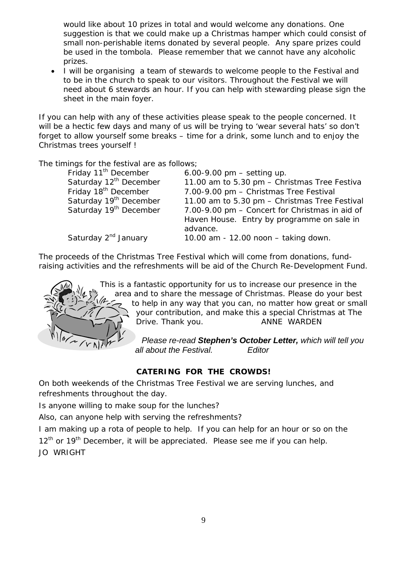would like about 10 prizes in total and would welcome any donations. One suggestion is that we could make up a Christmas hamper which could consist of small non-perishable items donated by several people. Any spare prizes could be used in the tombola. Please remember that we cannot have any alcoholic prizes.

 I will be organising a team of stewards to welcome people to the Festival and to be in the church to speak to our visitors. Throughout the Festival we will need about 6 stewards an hour. If you can help with stewarding please sign the sheet in the main foyer.

If you can help with any of these activities please speak to the people concerned. It will be a hectic few days and many of us will be trying to 'wear several hats' so don't forget to allow yourself some breaks – time for a drink, some lunch and to enjoy the Christmas trees yourself !

The timings for the festival are as follows;

| Friday 11 <sup>th</sup> December   | 6.00-9.00 pm $-$ setting up.                   |
|------------------------------------|------------------------------------------------|
| Saturday 12 <sup>th</sup> December | 11.00 am to 5.30 pm - Christmas Tree Festiva   |
| Friday 18 <sup>th</sup> December   | 7.00-9.00 pm - Christmas Tree Festival         |
| Saturday 19 <sup>th</sup> December | 11.00 am to 5.30 pm - Christmas Tree Festival  |
| Saturday 19 <sup>th</sup> December | 7.00-9.00 pm - Concert for Christmas in aid of |
|                                    | Haven House. Entry by programme on sale in     |
|                                    | advance.                                       |
| Saturday 2 <sup>nd</sup> January   | 10.00 am - 12.00 noon - taking down.           |
|                                    |                                                |

The proceeds of the Christmas Tree Festival which will come from donations, fundraising activities and the refreshments will be aid of the Church Re-Development Fund.



This is a fantastic opportunity for us to increase our presence in the area and to share the message of Christmas. Please do your best to help in any way that you can, no matter how great or small your contribution, and make this a special Christmas at The Drive. Thank you. **ANNE WARDEN** 

> *Please re-read Stephen's October Letter, which will tell you all about the Festival. Editor*

# **CATERING FOR THE CROWDS!**

On both weekends of the Christmas Tree Festival we are serving lunches, and refreshments throughout the day.

Is anyone willing to make soup for the lunches?

Also, can anyone help with serving the refreshments?

I am making up a rota of people to help. If you can help for an hour or so on the  $12<sup>th</sup>$  or  $19<sup>th</sup>$  December, it will be appreciated. Please see me if you can help.

JO WRIGHT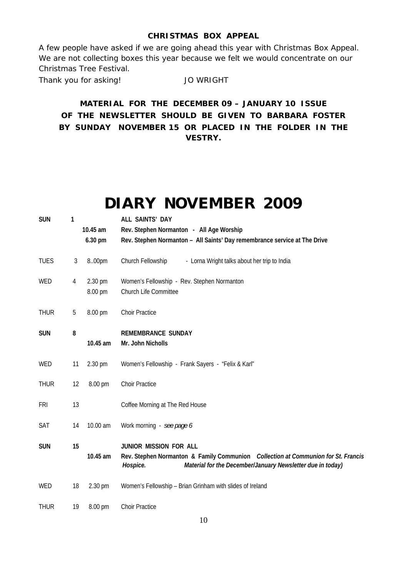# **CHRISTMAS BOX APPEAL**

A few people have asked if we are going ahead this year with Christmas Box Appeal. We are not collecting boxes this year because we felt we would concentrate on our Christmas Tree Festival.

Thank you for asking! JO WRIGHT

**MATERIAL FOR THE DECEMBER 09 – JANUARY 10 ISSUE OF THE NEWSLETTER SHOULD BE GIVEN TO BARBARA FOSTER BY SUNDAY NOVEMBER 15 OR PLACED IN THE FOLDER IN THE VESTRY.**

# **DIARY NOVEMBER 2009**

| <b>SUN</b>  | 1  |                                 | ALL SAINTS' DAY                                                                                                                                                                              |
|-------------|----|---------------------------------|----------------------------------------------------------------------------------------------------------------------------------------------------------------------------------------------|
|             |    | 10.45 am                        | Rev. Stephen Normanton - All Age Worship                                                                                                                                                     |
|             |    | 6.30 pm                         | Rev. Stephen Normanton - All Saints' Day remembrance service at The Drive                                                                                                                    |
| <b>TUES</b> | 3  | 8.00pm                          | Church Fellowship<br>- Lorna Wright talks about her trip to India                                                                                                                            |
| <b>WED</b>  | 4  | $2.30 \,\mathrm{pm}$<br>8.00 pm | Women's Fellowship - Rev. Stephen Normanton<br><b>Church Life Committee</b>                                                                                                                  |
| <b>THUR</b> | 5  | 8.00 pm                         | <b>Choir Practice</b>                                                                                                                                                                        |
| <b>SUN</b>  | 8  | 10.45 am                        | <b>REMEMBRANCE SUNDAY</b><br>Mr. John Nicholls                                                                                                                                               |
| <b>WED</b>  | 11 | $2.30 \,\mathrm{pm}$            | Women's Fellowship - Frank Sayers - "Felix & Karl"                                                                                                                                           |
| <b>THUR</b> | 12 | 8.00 pm                         | <b>Choir Practice</b>                                                                                                                                                                        |
| FRI         | 13 |                                 | Coffee Morning at The Red House                                                                                                                                                              |
| <b>SAT</b>  | 14 | 10.00 am                        | Work morning - see page 6                                                                                                                                                                    |
| <b>SUN</b>  | 15 | 10.45 am                        | <b>JUNIOR MISSION FOR ALL</b><br>Rev. Stephen Normanton & Family Communion Collection at Communion for St. Francis<br>Hospice.<br>Material for the December/January Newsletter due in today) |
| <b>WED</b>  | 18 | $2.30 \,\mathrm{pm}$            | Women's Fellowship - Brian Grinham with slides of Ireland                                                                                                                                    |
| <b>THUR</b> | 19 | $8.00 \,\mathrm{pm}$            | <b>Choir Practice</b>                                                                                                                                                                        |